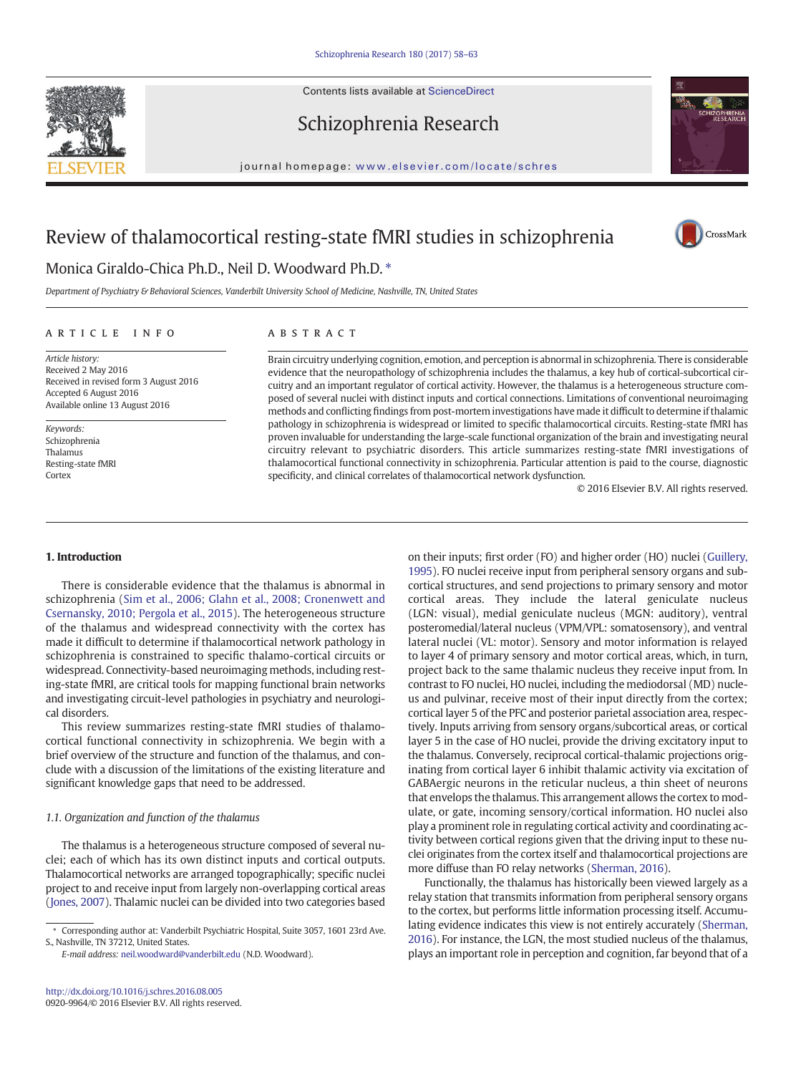Contents lists available at ScienceDirect







CrossMark

journal homepage: <www.elsevier.com/locate/schres>

# Review of thalamocortical resting-state fMRI studies in schizophrenia

# Monica Giraldo-Chica Ph.D., Neil D. Woodward Ph.D.  $*$

Department of Psychiatry & Behavioral Sciences, Vanderbilt University School of Medicine, Nashville, TN, United States

## ARTICLE INFO ABSTRACT

Article history: Received 2 May 2016 Received in revised form 3 August 2016 Accepted 6 August 2016 Available online 13 August 2016

Keywords: Schizophrenia Thalamus Resting-state fMRI **Cortex** 

Brain circuitry underlying cognition, emotion, and perception is abnormal in schizophrenia. There is considerable evidence that the neuropathology of schizophrenia includes the thalamus, a key hub of cortical-subcortical circuitry and an important regulator of cortical activity. However, the thalamus is a heterogeneous structure composed of several nuclei with distinct inputs and cortical connections. Limitations of conventional neuroimaging methods and conflicting findings from post-mortem investigations have made it difficult to determine if thalamic pathology in schizophrenia is widespread or limited to specific thalamocortical circuits. Resting-state fMRI has proven invaluable for understanding the large-scale functional organization of the brain and investigating neural circuitry relevant to psychiatric disorders. This article summarizes resting-state fMRI investigations of thalamocortical functional connectivity in schizophrenia. Particular attention is paid to the course, diagnostic specificity, and clinical correlates of thalamocortical network dysfunction.

© 2016 Elsevier B.V. All rights reserved.

## 1. Introduction

There is considerable evidence that the thalamus is abnormal in schizophrenia [\(Sim et al., 2006; Glahn et al., 2008; Cronenwett and](#page-5-0) [Csernansky, 2010; Pergola et al., 2015](#page-5-0)). The heterogeneous structure of the thalamus and widespread connectivity with the cortex has made it difficult to determine if thalamocortical network pathology in schizophrenia is constrained to specific thalamo-cortical circuits or widespread. Connectivity-based neuroimaging methods, including resting-state fMRI, are critical tools for mapping functional brain networks and investigating circuit-level pathologies in psychiatry and neurological disorders.

This review summarizes resting-state fMRI studies of thalamocortical functional connectivity in schizophrenia. We begin with a brief overview of the structure and function of the thalamus, and conclude with a discussion of the limitations of the existing literature and significant knowledge gaps that need to be addressed.

## 1.1. Organization and function of the thalamus

The thalamus is a heterogeneous structure composed of several nuclei; each of which has its own distinct inputs and cortical outputs. Thalamocortical networks are arranged topographically; specific nuclei project to and receive input from largely non-overlapping cortical areas [\(Jones, 2007](#page-5-0)). Thalamic nuclei can be divided into two categories based on their inputs; first order (FO) and higher order (HO) nuclei ([Guillery,](#page-4-0) [1995\)](#page-4-0). FO nuclei receive input from peripheral sensory organs and subcortical structures, and send projections to primary sensory and motor cortical areas. They include the lateral geniculate nucleus (LGN: visual), medial geniculate nucleus (MGN: auditory), ventral posteromedial/lateral nucleus (VPM/VPL: somatosensory), and ventral lateral nuclei (VL: motor). Sensory and motor information is relayed to layer 4 of primary sensory and motor cortical areas, which, in turn, project back to the same thalamic nucleus they receive input from. In contrast to FO nuclei, HO nuclei, including the mediodorsal (MD) nucleus and pulvinar, receive most of their input directly from the cortex; cortical layer 5 of the PFC and posterior parietal association area, respectively. Inputs arriving from sensory organs/subcortical areas, or cortical layer 5 in the case of HO nuclei, provide the driving excitatory input to the thalamus. Conversely, reciprocal cortical-thalamic projections originating from cortical layer 6 inhibit thalamic activity via excitation of GABAergic neurons in the reticular nucleus, a thin sheet of neurons that envelops the thalamus. This arrangement allows the cortex to modulate, or gate, incoming sensory/cortical information. HO nuclei also play a prominent role in regulating cortical activity and coordinating activity between cortical regions given that the driving input to these nuclei originates from the cortex itself and thalamocortical projections are more diffuse than FO relay networks [\(Sherman, 2016\)](#page-5-0).

Functionally, the thalamus has historically been viewed largely as a relay station that transmits information from peripheral sensory organs to the cortex, but performs little information processing itself. Accumulating evidence indicates this view is not entirely accurately [\(Sherman,](#page-5-0) [2016\)](#page-5-0). For instance, the LGN, the most studied nucleus of the thalamus, plays an important role in perception and cognition, far beyond that of a

<sup>⁎</sup> Corresponding author at: Vanderbilt Psychiatric Hospital, Suite 3057, 1601 23rd Ave. S., Nashville, TN 37212, United States.

E-mail address: [neil.woodward@vanderbilt.edu](mailto:neil.woodward@vanderbilt.edu) (N.D. Woodward).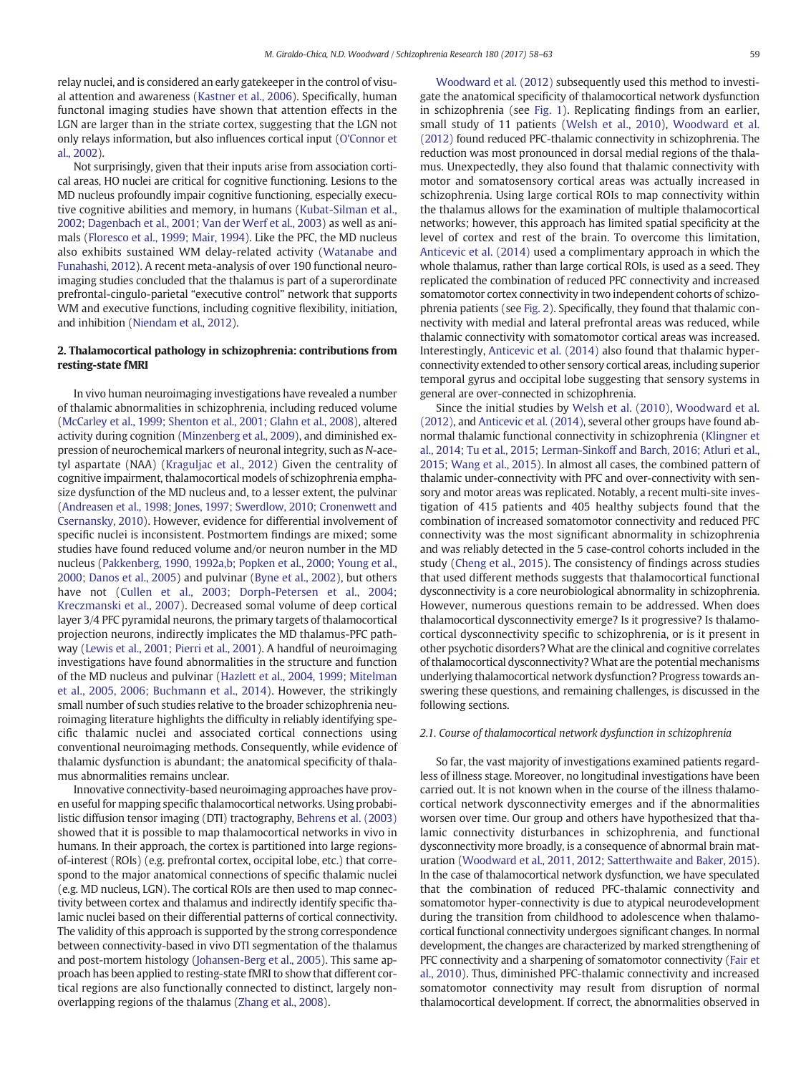relay nuclei, and is considered an early gatekeeper in the control of visual attention and awareness [\(Kastner et al., 2006\)](#page-5-0). Specifically, human functonal imaging studies have shown that attention effects in the LGN are larger than in the striate cortex, suggesting that the LGN not only relays information, but also influences cortical input [\(O'Connor et](#page-5-0) [al., 2002](#page-5-0)).

Not surprisingly, given that their inputs arise from association cortical areas, HO nuclei are critical for cognitive functioning. Lesions to the MD nucleus profoundly impair cognitive functioning, especially executive cognitive abilities and memory, in humans ([Kubat-Silman et al.,](#page-5-0) [2002; Dagenbach et al., 2001; Van der Werf et al., 2003\)](#page-5-0) as well as animals [\(Floresco et al., 1999; Mair, 1994\)](#page-4-0). Like the PFC, the MD nucleus also exhibits sustained WM delay-related activity ([Watanabe and](#page-5-0) [Funahashi, 2012](#page-5-0)). A recent meta-analysis of over 190 functional neuroimaging studies concluded that the thalamus is part of a superordinate prefrontal-cingulo-parietal "executive control" network that supports WM and executive functions, including cognitive flexibility, initiation, and inhibition [\(Niendam et al., 2012](#page-5-0)).

## 2. Thalamocortical pathology in schizophrenia: contributions from resting-state fMRI

In vivo human neuroimaging investigations have revealed a number of thalamic abnormalities in schizophrenia, including reduced volume [\(McCarley et al., 1999; Shenton et al., 2001; Glahn et al., 2008](#page-5-0)), altered activity during cognition ([Minzenberg et al., 2009\)](#page-5-0), and diminished expression of neurochemical markers of neuronal integrity, such as N-acetyl aspartate (NAA) ([Kraguljac et al., 2012](#page-5-0)) Given the centrality of cognitive impairment, thalamocortical models of schizophrenia emphasize dysfunction of the MD nucleus and, to a lesser extent, the pulvinar [\(Andreasen et al., 1998; Jones, 1997; Swerdlow, 2010; Cronenwett and](#page-4-0) [Csernansky, 2010\)](#page-4-0). However, evidence for differential involvement of specific nuclei is inconsistent. Postmortem findings are mixed; some studies have found reduced volume and/or neuron number in the MD nucleus ([Pakkenberg, 1990, 1992a,b; Popken et al., 2000; Young et al.,](#page-5-0) [2000; Danos et al., 2005](#page-5-0)) and pulvinar [\(Byne et al., 2002](#page-4-0)), but others have not ([Cullen et al., 2003; Dorph-Petersen et al., 2004;](#page-4-0) [Kreczmanski et al., 2007](#page-4-0)). Decreased somal volume of deep cortical layer 3/4 PFC pyramidal neurons, the primary targets of thalamocortical projection neurons, indirectly implicates the MD thalamus-PFC pathway [\(Lewis et al., 2001; Pierri et al., 2001\)](#page-5-0). A handful of neuroimaging investigations have found abnormalities in the structure and function of the MD nucleus and pulvinar [\(Hazlett et al., 2004, 1999; Mitelman](#page-4-0) [et al., 2005, 2006; Buchmann et al., 2014](#page-4-0)). However, the strikingly small number of such studies relative to the broader schizophrenia neuroimaging literature highlights the difficulty in reliably identifying specific thalamic nuclei and associated cortical connections using conventional neuroimaging methods. Consequently, while evidence of thalamic dysfunction is abundant; the anatomical specificity of thalamus abnormalities remains unclear.

Innovative connectivity-based neuroimaging approaches have proven useful for mapping specific thalamocortical networks. Using probabilistic diffusion tensor imaging (DTI) tractography, [Behrens et al. \(2003\)](#page-4-0) showed that it is possible to map thalamocortical networks in vivo in humans. In their approach, the cortex is partitioned into large regionsof-interest (ROIs) (e.g. prefrontal cortex, occipital lobe, etc.) that correspond to the major anatomical connections of specific thalamic nuclei (e.g. MD nucleus, LGN). The cortical ROIs are then used to map connectivity between cortex and thalamus and indirectly identify specific thalamic nuclei based on their differential patterns of cortical connectivity. The validity of this approach is supported by the strong correspondence between connectivity-based in vivo DTI segmentation of the thalamus and post-mortem histology [\(Johansen-Berg et al., 2005](#page-5-0)). This same approach has been applied to resting-state fMRI to show that different cortical regions are also functionally connected to distinct, largely nonoverlapping regions of the thalamus [\(Zhang et al., 2008\)](#page-5-0).

[Woodward et al. \(2012\)](#page-5-0) subsequently used this method to investigate the anatomical specificity of thalamocortical network dysfunction in schizophrenia (see [Fig. 1\)](#page-2-0). Replicating findings from an earlier, small study of 11 patients ([Welsh et al., 2010\)](#page-5-0), [Woodward et al.](#page-5-0) [\(2012\)](#page-5-0) found reduced PFC-thalamic connectivity in schizophrenia. The reduction was most pronounced in dorsal medial regions of the thalamus. Unexpectedly, they also found that thalamic connectivity with motor and somatosensory cortical areas was actually increased in schizophrenia. Using large cortical ROIs to map connectivity within the thalamus allows for the examination of multiple thalamocortical networks; however, this approach has limited spatial specificity at the level of cortex and rest of the brain. To overcome this limitation, [Anticevic et al. \(2014\)](#page-4-0) used a complimentary approach in which the whole thalamus, rather than large cortical ROIs, is used as a seed. They replicated the combination of reduced PFC connectivity and increased somatomotor cortex connectivity in two independent cohorts of schizophrenia patients (see [Fig. 2\)](#page-2-0). Specifically, they found that thalamic connectivity with medial and lateral prefrontal areas was reduced, while thalamic connectivity with somatomotor cortical areas was increased. Interestingly, [Anticevic et al. \(2014\)](#page-4-0) also found that thalamic hyperconnectivity extended to other sensory cortical areas, including superior temporal gyrus and occipital lobe suggesting that sensory systems in general are over-connected in schizophrenia.

Since the initial studies by [Welsh et al. \(2010\)](#page-5-0), [Woodward et al.](#page-5-0) [\(2012\)](#page-5-0), and [Anticevic et al. \(2014\)](#page-4-0), several other groups have found abnormal thalamic functional connectivity in schizophrenia ([Klingner et](#page-5-0) [al., 2014; Tu et al., 2015; Lerman-Sinkoff and Barch, 2016; Atluri et al.,](#page-5-0) [2015; Wang et al., 2015\)](#page-5-0). In almost all cases, the combined pattern of thalamic under-connectivity with PFC and over-connectivity with sensory and motor areas was replicated. Notably, a recent multi-site investigation of 415 patients and 405 healthy subjects found that the combination of increased somatomotor connectivity and reduced PFC connectivity was the most significant abnormality in schizophrenia and was reliably detected in the 5 case-control cohorts included in the study ([Cheng et al., 2015\)](#page-4-0). The consistency of findings across studies that used different methods suggests that thalamocortical functional dysconnectivity is a core neurobiological abnormality in schizophrenia. However, numerous questions remain to be addressed. When does thalamocortical dysconnectivity emerge? Is it progressive? Is thalamocortical dysconnectivity specific to schizophrenia, or is it present in other psychotic disorders?What are the clinical and cognitive correlates of thalamocortical dysconnectivity? What are the potential mechanisms underlying thalamocortical network dysfunction? Progress towards answering these questions, and remaining challenges, is discussed in the following sections.

## 2.1. Course of thalamocortical network dysfunction in schizophrenia

So far, the vast majority of investigations examined patients regardless of illness stage. Moreover, no longitudinal investigations have been carried out. It is not known when in the course of the illness thalamocortical network dysconnectivity emerges and if the abnormalities worsen over time. Our group and others have hypothesized that thalamic connectivity disturbances in schizophrenia, and functional dysconnectivity more broadly, is a consequence of abnormal brain maturation [\(Woodward et al., 2011, 2012; Satterthwaite and Baker, 2015](#page-5-0)). In the case of thalamocortical network dysfunction, we have speculated that the combination of reduced PFC-thalamic connectivity and somatomotor hyper-connectivity is due to atypical neurodevelopment during the transition from childhood to adolescence when thalamocortical functional connectivity undergoes significant changes. In normal development, the changes are characterized by marked strengthening of PFC connectivity and a sharpening of somatomotor connectivity ([Fair et](#page-4-0) [al., 2010](#page-4-0)). Thus, diminished PFC-thalamic connectivity and increased somatomotor connectivity may result from disruption of normal thalamocortical development. If correct, the abnormalities observed in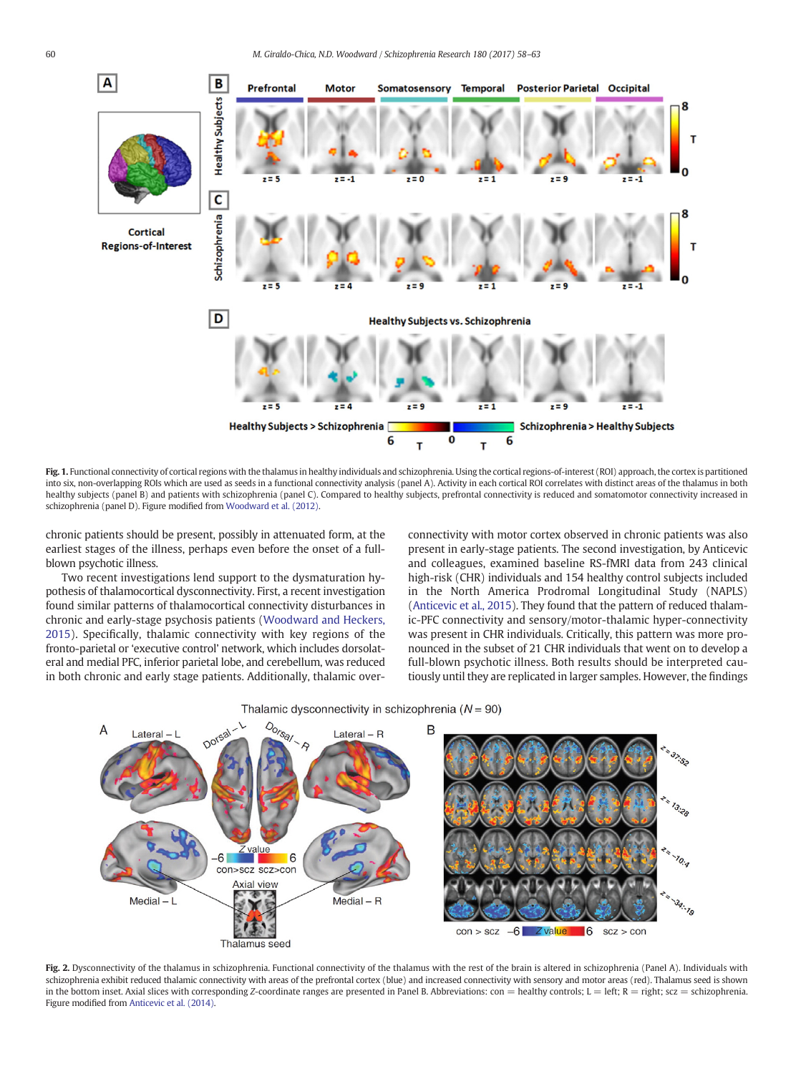<span id="page-2-0"></span>

Fig. 1. Functional connectivity of cortical regions with the thalamus in healthy individuals and schizophrenia. Using the cortical regions-of-interest (ROI) approach, the cortex is partitioned into six, non-overlapping ROIs which are used as seeds in a functional connectivity analysis (panel A). Activity in each cortical ROI correlates with distinct areas of the thalamus in both healthy subjects (panel B) and patients with schizophrenia (panel C). Compared to healthy subjects, prefrontal connectivity is reduced and somatomotor connectivity increased in schizophrenia (panel D). Figure modified from [Woodward et al. \(2012\).](#page-5-0)

chronic patients should be present, possibly in attenuated form, at the earliest stages of the illness, perhaps even before the onset of a fullblown psychotic illness.

Two recent investigations lend support to the dysmaturation hypothesis of thalamocortical dysconnectivity. First, a recent investigation found similar patterns of thalamocortical connectivity disturbances in chronic and early-stage psychosis patients ([Woodward and Heckers,](#page-5-0) [2015](#page-5-0)). Specifically, thalamic connectivity with key regions of the fronto-parietal or 'executive control' network, which includes dorsolateral and medial PFC, inferior parietal lobe, and cerebellum, was reduced in both chronic and early stage patients. Additionally, thalamic over-

> con>scz scz>con Axial view

Thalamus seed

 $Medial - L$ 

connectivity with motor cortex observed in chronic patients was also present in early-stage patients. The second investigation, by Anticevic and colleagues, examined baseline RS-fMRI data from 243 clinical high-risk (CHR) individuals and 154 healthy control subjects included in the North America Prodromal Longitudinal Study (NAPLS) [\(Anticevic et al., 2015](#page-4-0)). They found that the pattern of reduced thalamic-PFC connectivity and sensory/motor-thalamic hyper-connectivity was present in CHR individuals. Critically, this pattern was more pronounced in the subset of 21 CHR individuals that went on to develop a full-blown psychotic illness. Both results should be interpreted cautiously until they are replicated in larger samples. However, the findings

37.52

13:28

34: 19



 $Median - R$ 

Thalamic dysconnectivity in schizophrenia ( $N = 90$ )

Fig. 2. Dysconnectivity of the thalamus in schizophrenia. Functional connectivity of the thalamus with the rest of the brain is altered in schizophrenia (Panel A). Individuals with schizophrenia exhibit reduced thalamic connectivity with areas of the prefrontal cortex (blue) and increased connectivity with sensory and motor areas (red). Thalamus seed is shown in the bottom inset. Axial slices with corresponding Z-coordinate ranges are presented in Panel B. Abbreviations:  $con =$  healthy controls;  $L =$  left;  $R =$  right; scz = schizophrenia. Figure modified from [Anticevic et al. \(2014\)](#page-4-0).

 $con >$   $scz$ 

 $-6$ 

Z va<mark>lue</mark>

16

 $SCZ > CON$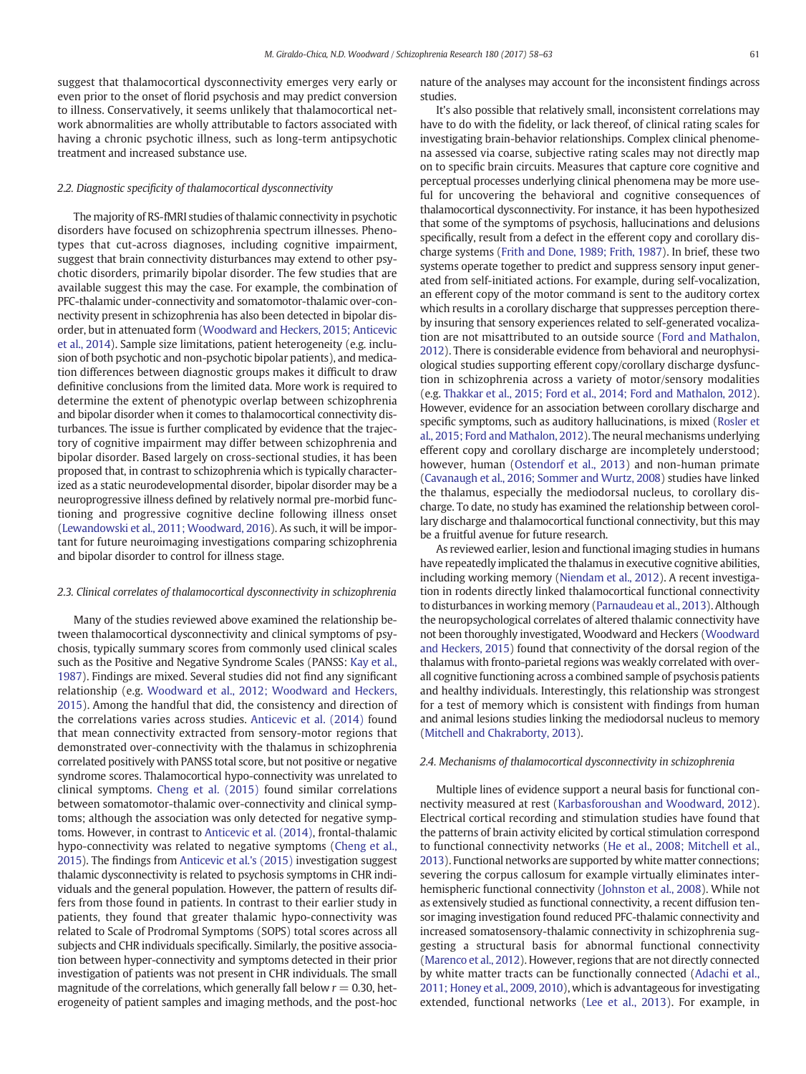suggest that thalamocortical dysconnectivity emerges very early or even prior to the onset of florid psychosis and may predict conversion to illness. Conservatively, it seems unlikely that thalamocortical network abnormalities are wholly attributable to factors associated with having a chronic psychotic illness, such as long-term antipsychotic treatment and increased substance use.

## 2.2. Diagnostic specificity of thalamocortical dysconnectivity

The majority of RS-fMRI studies of thalamic connectivity in psychotic disorders have focused on schizophrenia spectrum illnesses. Phenotypes that cut-across diagnoses, including cognitive impairment, suggest that brain connectivity disturbances may extend to other psychotic disorders, primarily bipolar disorder. The few studies that are available suggest this may the case. For example, the combination of PFC-thalamic under-connectivity and somatomotor-thalamic over-connectivity present in schizophrenia has also been detected in bipolar disorder, but in attenuated form [\(Woodward and Heckers, 2015; Anticevic](#page-5-0) [et al., 2014\)](#page-5-0). Sample size limitations, patient heterogeneity (e.g. inclusion of both psychotic and non-psychotic bipolar patients), and medication differences between diagnostic groups makes it difficult to draw definitive conclusions from the limited data. More work is required to determine the extent of phenotypic overlap between schizophrenia and bipolar disorder when it comes to thalamocortical connectivity disturbances. The issue is further complicated by evidence that the trajectory of cognitive impairment may differ between schizophrenia and bipolar disorder. Based largely on cross-sectional studies, it has been proposed that, in contrast to schizophrenia which is typically characterized as a static neurodevelopmental disorder, bipolar disorder may be a neuroprogressive illness defined by relatively normal pre-morbid functioning and progressive cognitive decline following illness onset [\(Lewandowski et al., 2011; Woodward, 2016\)](#page-5-0). As such, it will be important for future neuroimaging investigations comparing schizophrenia and bipolar disorder to control for illness stage.

## 2.3. Clinical correlates of thalamocortical dysconnectivity in schizophrenia

Many of the studies reviewed above examined the relationship between thalamocortical dysconnectivity and clinical symptoms of psychosis, typically summary scores from commonly used clinical scales such as the Positive and Negative Syndrome Scales (PANSS: [Kay et al.,](#page-5-0) [1987\)](#page-5-0). Findings are mixed. Several studies did not find any significant relationship (e.g. [Woodward et al., 2012; Woodward and Heckers,](#page-5-0) [2015\)](#page-5-0). Among the handful that did, the consistency and direction of the correlations varies across studies. [Anticevic et al. \(2014\)](#page-4-0) found that mean connectivity extracted from sensory-motor regions that demonstrated over-connectivity with the thalamus in schizophrenia correlated positively with PANSS total score, but not positive or negative syndrome scores. Thalamocortical hypo-connectivity was unrelated to clinical symptoms. [Cheng et al. \(2015\)](#page-4-0) found similar correlations between somatomotor-thalamic over-connectivity and clinical symptoms; although the association was only detected for negative symptoms. However, in contrast to [Anticevic et al. \(2014\)](#page-4-0), frontal-thalamic hypo-connectivity was related to negative symptoms ([Cheng et al.,](#page-4-0) [2015](#page-4-0)). The findings from [Anticevic et al.'s \(2015\)](#page-4-0) investigation suggest thalamic dysconnectivity is related to psychosis symptoms in CHR individuals and the general population. However, the pattern of results differs from those found in patients. In contrast to their earlier study in patients, they found that greater thalamic hypo-connectivity was related to Scale of Prodromal Symptoms (SOPS) total scores across all subjects and CHR individuals specifically. Similarly, the positive association between hyper-connectivity and symptoms detected in their prior investigation of patients was not present in CHR individuals. The small magnitude of the correlations, which generally fall below  $r = 0.30$ , heterogeneity of patient samples and imaging methods, and the post-hoc nature of the analyses may account for the inconsistent findings across studies.

It's also possible that relatively small, inconsistent correlations may have to do with the fidelity, or lack thereof, of clinical rating scales for investigating brain-behavior relationships. Complex clinical phenomena assessed via coarse, subjective rating scales may not directly map on to specific brain circuits. Measures that capture core cognitive and perceptual processes underlying clinical phenomena may be more useful for uncovering the behavioral and cognitive consequences of thalamocortical dysconnectivity. For instance, it has been hypothesized that some of the symptoms of psychosis, hallucinations and delusions specifically, result from a defect in the efferent copy and corollary discharge systems ([Frith and Done, 1989; Frith, 1987](#page-4-0)). In brief, these two systems operate together to predict and suppress sensory input generated from self-initiated actions. For example, during self-vocalization, an efferent copy of the motor command is sent to the auditory cortex which results in a corollary discharge that suppresses perception thereby insuring that sensory experiences related to self-generated vocalization are not misattributed to an outside source [\(Ford and Mathalon,](#page-4-0) [2012](#page-4-0)). There is considerable evidence from behavioral and neurophysiological studies supporting efferent copy/corollary discharge dysfunction in schizophrenia across a variety of motor/sensory modalities (e.g. [Thakkar et al., 2015; Ford et al., 2014; Ford and Mathalon, 2012](#page-5-0)). However, evidence for an association between corollary discharge and specific symptoms, such as auditory hallucinations, is mixed [\(Rosler et](#page-5-0) [al., 2015; Ford and Mathalon, 2012](#page-5-0)). The neural mechanisms underlying efferent copy and corollary discharge are incompletely understood; however, human ([Ostendorf et al., 2013](#page-5-0)) and non-human primate [\(Cavanaugh et al., 2016; Sommer and Wurtz, 2008](#page-4-0)) studies have linked the thalamus, especially the mediodorsal nucleus, to corollary discharge. To date, no study has examined the relationship between corollary discharge and thalamocortical functional connectivity, but this may be a fruitful avenue for future research.

As reviewed earlier, lesion and functional imaging studies in humans have repeatedly implicated the thalamus in executive cognitive abilities, including working memory ([Niendam et al., 2012](#page-5-0)). A recent investigation in rodents directly linked thalamocortical functional connectivity to disturbances in working memory ([Parnaudeau et al., 2013\)](#page-5-0). Although the neuropsychological correlates of altered thalamic connectivity have not been thoroughly investigated, Woodward and Heckers ([Woodward](#page-5-0) [and Heckers, 2015\)](#page-5-0) found that connectivity of the dorsal region of the thalamus with fronto-parietal regions was weakly correlated with overall cognitive functioning across a combined sample of psychosis patients and healthy individuals. Interestingly, this relationship was strongest for a test of memory which is consistent with findings from human and animal lesions studies linking the mediodorsal nucleus to memory [\(Mitchell and Chakraborty, 2013\)](#page-5-0).

## 2.4. Mechanisms of thalamocortical dysconnectivity in schizophrenia

Multiple lines of evidence support a neural basis for functional connectivity measured at rest [\(Karbasforoushan and Woodward, 2012](#page-5-0)). Electrical cortical recording and stimulation studies have found that the patterns of brain activity elicited by cortical stimulation correspond to functional connectivity networks [\(He et al., 2008; Mitchell et al.,](#page-5-0) [2013](#page-5-0)). Functional networks are supported by white matter connections; severing the corpus callosum for example virtually eliminates interhemispheric functional connectivity [\(Johnston et al., 2008](#page-5-0)). While not as extensively studied as functional connectivity, a recent diffusion tensor imaging investigation found reduced PFC-thalamic connectivity and increased somatosensory-thalamic connectivity in schizophrenia suggesting a structural basis for abnormal functional connectivity [\(Marenco et al., 2012](#page-5-0)). However, regions that are not directly connected by white matter tracts can be functionally connected ([Adachi et al.,](#page-4-0) [2011; Honey et al., 2009, 2010](#page-4-0)), which is advantageous for investigating extended, functional networks [\(Lee et al., 2013\)](#page-5-0). For example, in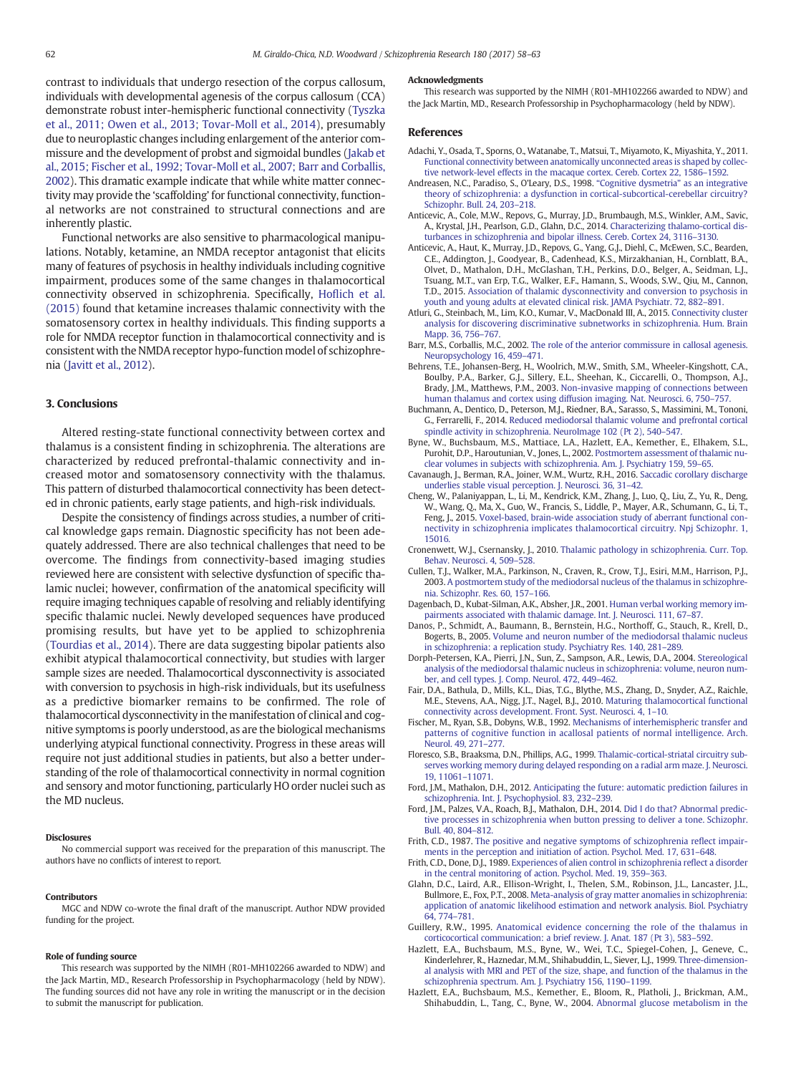<span id="page-4-0"></span>contrast to individuals that undergo resection of the corpus callosum, individuals with developmental agenesis of the corpus callosum (CCA) demonstrate robust inter-hemispheric functional connectivity ([Tyszka](#page-5-0) [et al., 2011; Owen et al., 2013; Tovar-Moll et al., 2014\)](#page-5-0), presumably due to neuroplastic changes including enlargement of the anterior commissure and the development of probst and sigmoidal bundles [\(Jakab et](#page-5-0) [al., 2015; Fischer et al., 1992; Tovar-Moll et al., 2007; Barr and Corballis,](#page-5-0) [2002\)](#page-5-0). This dramatic example indicate that while white matter connectivity may provide the 'scaffolding' for functional connectivity, functional networks are not constrained to structural connections and are inherently plastic.

Functional networks are also sensitive to pharmacological manipulations. Notably, ketamine, an NMDA receptor antagonist that elicits many of features of psychosis in healthy individuals including cognitive impairment, produces some of the same changes in thalamocortical connectivity observed in schizophrenia. Specifically, Hofl[ich et al.](#page-5-0) [\(2015\)](#page-5-0) found that ketamine increases thalamic connectivity with the somatosensory cortex in healthy individuals. This finding supports a role for NMDA receptor function in thalamocortical connectivity and is consistent with the NMDA receptor hypo-function model of schizophrenia [\(Javitt et al., 2012](#page-5-0)).

## 3. Conclusions

Altered resting-state functional connectivity between cortex and thalamus is a consistent finding in schizophrenia. The alterations are characterized by reduced prefrontal-thalamic connectivity and increased motor and somatosensory connectivity with the thalamus. This pattern of disturbed thalamocortical connectivity has been detected in chronic patients, early stage patients, and high-risk individuals.

Despite the consistency of findings across studies, a number of critical knowledge gaps remain. Diagnostic specificity has not been adequately addressed. There are also technical challenges that need to be overcome. The findings from connectivity-based imaging studies reviewed here are consistent with selective dysfunction of specific thalamic nuclei; however, confirmation of the anatomical specificity will require imaging techniques capable of resolving and reliably identifying specific thalamic nuclei. Newly developed sequences have produced promising results, but have yet to be applied to schizophrenia [\(Tourdias et al., 2014\)](#page-5-0). There are data suggesting bipolar patients also exhibit atypical thalamocortical connectivity, but studies with larger sample sizes are needed. Thalamocortical dysconnectivity is associated with conversion to psychosis in high-risk individuals, but its usefulness as a predictive biomarker remains to be confirmed. The role of thalamocortical dysconnectivity in the manifestation of clinical and cognitive symptoms is poorly understood, as are the biological mechanisms underlying atypical functional connectivity. Progress in these areas will require not just additional studies in patients, but also a better understanding of the role of thalamocortical connectivity in normal cognition and sensory and motor functioning, particularly HO order nuclei such as the MD nucleus.

## Disclosures

No commercial support was received for the preparation of this manuscript. The authors have no conflicts of interest to report.

## Contributors

MGC and NDW co-wrote the final draft of the manuscript. Author NDW provided funding for the project.

## Role of funding source

This research was supported by the NIMH (R01-MH102266 awarded to NDW) and the Jack Martin, MD., Research Professorship in Psychopharmacology (held by NDW). The funding sources did not have any role in writing the manuscript or in the decision to submit the manuscript for publication.

#### Acknowledgments

This research was supported by the NIMH (R01-MH102266 awarded to NDW) and the Jack Martin, MD., Research Professorship in Psychopharmacology (held by NDW).

## References

- Adachi, Y., Osada, T., Sporns, O., Watanabe, T., Matsui, T., Miyamoto, K., Miyashita, Y., 2011. [Functional connectivity between anatomically unconnected areas is shaped by collec](http://refhub.elsevier.com/S0920-9964(16)30355-3/rf0005)[tive network-level effects in the macaque cortex. Cereb. Cortex 22, 1586](http://refhub.elsevier.com/S0920-9964(16)30355-3/rf0005)–1592.
- Andreasen, N.C., Paradiso, S., O'Leary, D.S., 1998. "[Cognitive dysmetria](http://refhub.elsevier.com/S0920-9964(16)30355-3/rf0010)" as an integrative [theory of schizophrenia: a dysfunction in cortical-subcortical-cerebellar circuitry?](http://refhub.elsevier.com/S0920-9964(16)30355-3/rf0010) [Schizophr. Bull. 24, 203](http://refhub.elsevier.com/S0920-9964(16)30355-3/rf0010)–218.
- Anticevic, A., Cole, M.W., Repovs, G., Murray, J.D., Brumbaugh, M.S., Winkler, A.M., Savic, A., Krystal, J.H., Pearlson, G.D., Glahn, D.C., 2014. [Characterizing thalamo-cortical dis](http://refhub.elsevier.com/S0920-9964(16)30355-3/rf0015)[turbances in schizophrenia and bipolar illness. Cereb. Cortex 24, 3116](http://refhub.elsevier.com/S0920-9964(16)30355-3/rf0015)–3130.
- Anticevic, A., Haut, K., Murray, J.D., Repovs, G., Yang, G.J., Diehl, C., McEwen, S.C., Bearden, C.E., Addington, J., Goodyear, B., Cadenhead, K.S., Mirzakhanian, H., Cornblatt, B.A., Olvet, D., Mathalon, D.H., McGlashan, T.H., Perkins, D.O., Belger, A., Seidman, L.J., Tsuang, M.T., van Erp, T.G., Walker, E.F., Hamann, S., Woods, S.W., Qiu, M., Cannon, T.D., 2015. [Association of thalamic dysconnectivity and conversion to psychosis in](http://refhub.elsevier.com/S0920-9964(16)30355-3/rf0020) [youth and young adults at elevated clinical risk. JAMA Psychiatr. 72, 882](http://refhub.elsevier.com/S0920-9964(16)30355-3/rf0020)–891.
- Atluri, G., Steinbach, M., Lim, K.O., Kumar, V., MacDonald III, A., 2015. [Connectivity cluster](http://refhub.elsevier.com/S0920-9964(16)30355-3/rf0025) [analysis for discovering discriminative subnetworks in schizophrenia. Hum. Brain](http://refhub.elsevier.com/S0920-9964(16)30355-3/rf0025) [Mapp. 36, 756](http://refhub.elsevier.com/S0920-9964(16)30355-3/rf0025)–767.
- Barr, M.S., Corballis, M.C., 2002. [The role of the anterior commissure in callosal agenesis.](http://refhub.elsevier.com/S0920-9964(16)30355-3/rf0030) [Neuropsychology 16, 459](http://refhub.elsevier.com/S0920-9964(16)30355-3/rf0030)–471.
- Behrens, T.E., Johansen-Berg, H., Woolrich, M.W., Smith, S.M., Wheeler-Kingshott, C.A., Boulby, P.A., Barker, G.J., Sillery, E.L., Sheehan, K., Ciccarelli, O., Thompson, A.J., Brady, J.M., Matthews, P.M., 2003. [Non-invasive mapping of connections between](http://refhub.elsevier.com/S0920-9964(16)30355-3/rf0035) [human thalamus and cortex using diffusion imaging. Nat. Neurosci. 6, 750](http://refhub.elsevier.com/S0920-9964(16)30355-3/rf0035)–757.
- Buchmann, A., Dentico, D., Peterson, M.J., Riedner, B.A., Sarasso, S., Massimini, M., Tononi, G., Ferrarelli, F., 2014. [Reduced mediodorsal thalamic volume and prefrontal cortical](http://refhub.elsevier.com/S0920-9964(16)30355-3/rf0040) [spindle activity in schizophrenia. NeuroImage 102 \(Pt 2\), 540](http://refhub.elsevier.com/S0920-9964(16)30355-3/rf0040)–547.
- Byne, W., Buchsbaum, M.S., Mattiace, L.A., Hazlett, E.A., Kemether, E., Elhakem, S.L., Purohit, D.P., Haroutunian, V., Jones, L., 2002. [Postmortem assessment of thalamic nu](http://refhub.elsevier.com/S0920-9964(16)30355-3/rf0045)[clear volumes in subjects with schizophrenia. Am. J. Psychiatry 159, 59](http://refhub.elsevier.com/S0920-9964(16)30355-3/rf0045)–65.
- Cavanaugh, J., Berman, R.A., Joiner, W.M., Wurtz, R.H., 2016. [Saccadic corollary discharge](http://refhub.elsevier.com/S0920-9964(16)30355-3/rf0050) [underlies stable visual perception. J. Neurosci. 36, 31](http://refhub.elsevier.com/S0920-9964(16)30355-3/rf0050)–42.
- Cheng, W., Palaniyappan, L., Li, M., Kendrick, K.M., Zhang, J., Luo, Q., Liu, Z., Yu, R., Deng, W., Wang, Q., Ma, X., Guo, W., Francis, S., Liddle, P., Mayer, A.R., Schumann, G., Li, T., Feng, J., 2015. [Voxel-based, brain-wide association study of aberrant functional con](http://refhub.elsevier.com/S0920-9964(16)30355-3/rf0055)[nectivity in schizophrenia implicates thalamocortical circuitry. Npj Schizophr. 1,](http://refhub.elsevier.com/S0920-9964(16)30355-3/rf0055) [15016](http://refhub.elsevier.com/S0920-9964(16)30355-3/rf0055).
- Cronenwett, W.J., Csernansky, J., 2010. [Thalamic pathology in schizophrenia. Curr. Top.](http://refhub.elsevier.com/S0920-9964(16)30355-3/rf0060) [Behav. Neurosci. 4, 509](http://refhub.elsevier.com/S0920-9964(16)30355-3/rf0060)–528.
- Cullen, T.J., Walker, M.A., Parkinson, N., Craven, R., Crow, T.J., Esiri, M.M., Harrison, P.J., 2003. [A postmortem study of the mediodorsal nucleus of the thalamus in schizophre](http://refhub.elsevier.com/S0920-9964(16)30355-3/rf0065)[nia. Schizophr. Res. 60, 157](http://refhub.elsevier.com/S0920-9964(16)30355-3/rf0065)–166.
- Dagenbach, D., Kubat-Silman, A.K., Absher, J.R., 2001. [Human verbal working memory im](http://refhub.elsevier.com/S0920-9964(16)30355-3/rf0070)[pairments associated with thalamic damage. Int. J. Neurosci. 111, 67](http://refhub.elsevier.com/S0920-9964(16)30355-3/rf0070)–87.
- Danos, P., Schmidt, A., Baumann, B., Bernstein, H.G., Northoff, G., Stauch, R., Krell, D., Bogerts, B., 2005. [Volume and neuron number of the mediodorsal thalamic nucleus](http://refhub.elsevier.com/S0920-9964(16)30355-3/rf0075) [in schizophrenia: a replication study. Psychiatry Res. 140, 281](http://refhub.elsevier.com/S0920-9964(16)30355-3/rf0075)–289.
- Dorph-Petersen, K.A., Pierri, J.N., Sun, Z., Sampson, A.R., Lewis, D.A., 2004. [Stereological](http://refhub.elsevier.com/S0920-9964(16)30355-3/rf0080) [analysis of the mediodorsal thalamic nucleus in schizophrenia: volume, neuron num](http://refhub.elsevier.com/S0920-9964(16)30355-3/rf0080)[ber, and cell types. J. Comp. Neurol. 472, 449](http://refhub.elsevier.com/S0920-9964(16)30355-3/rf0080)–462.
- Fair, D.A., Bathula, D., Mills, K.L., Dias, T.G., Blythe, M.S., Zhang, D., Snyder, A.Z., Raichle, M.E., Stevens, A.A., Nigg, J.T., Nagel, B.J., 2010. [Maturing thalamocortical functional](http://refhub.elsevier.com/S0920-9964(16)30355-3/rf0085) [connectivity across development. Front. Syst. Neurosci. 4, 1](http://refhub.elsevier.com/S0920-9964(16)30355-3/rf0085)–10.
- Fischer, M., Ryan, S.B., Dobyns, W.B., 1992. [Mechanisms of interhemispheric transfer and](http://refhub.elsevier.com/S0920-9964(16)30355-3/rf0090) [patterns of cognitive function in acallosal patients of normal intelligence. Arch.](http://refhub.elsevier.com/S0920-9964(16)30355-3/rf0090) [Neurol. 49, 271](http://refhub.elsevier.com/S0920-9964(16)30355-3/rf0090)–277.
- Floresco, S.B., Braaksma, D.N., Phillips, A.G., 1999. [Thalamic-cortical-striatal circuitry sub](http://refhub.elsevier.com/S0920-9964(16)30355-3/rf0095)[serves working memory during delayed responding on a radial arm maze. J. Neurosci.](http://refhub.elsevier.com/S0920-9964(16)30355-3/rf0095) [19, 11061](http://refhub.elsevier.com/S0920-9964(16)30355-3/rf0095)–11071.
- Ford, J.M., Mathalon, D.H., 2012. [Anticipating the future: automatic prediction failures in](http://refhub.elsevier.com/S0920-9964(16)30355-3/rf0100) [schizophrenia. Int. J. Psychophysiol. 83, 232](http://refhub.elsevier.com/S0920-9964(16)30355-3/rf0100)–239.
- Ford, J.M., Palzes, V.A., Roach, B.J., Mathalon, D.H., 2014. [Did I do that? Abnormal predic](http://refhub.elsevier.com/S0920-9964(16)30355-3/rf0105)[tive processes in schizophrenia when button pressing to deliver a tone. Schizophr.](http://refhub.elsevier.com/S0920-9964(16)30355-3/rf0105) [Bull. 40, 804](http://refhub.elsevier.com/S0920-9964(16)30355-3/rf0105)–812.
- Frith, C.D., 1987. [The positive and negative symptoms of schizophrenia re](http://refhub.elsevier.com/S0920-9964(16)30355-3/rf0110)flect impair[ments in the perception and initiation of action. Psychol. Med. 17, 631](http://refhub.elsevier.com/S0920-9964(16)30355-3/rf0110)–648.
- Frith, C.D., Done, D.J., 1989. [Experiences of alien control in schizophrenia re](http://refhub.elsevier.com/S0920-9964(16)30355-3/rf0115)flect a disorder [in the central monitoring of action. Psychol. Med. 19, 359](http://refhub.elsevier.com/S0920-9964(16)30355-3/rf0115)–363.
- Glahn, D.C., Laird, A.R., Ellison-Wright, I., Thelen, S.M., Robinson, J.L., Lancaster, J.L., Bullmore, E., Fox, P.T., 2008. [Meta-analysis of gray matter anomalies in schizophrenia:](http://refhub.elsevier.com/S0920-9964(16)30355-3/rf0120) [application of anatomic likelihood estimation and network analysis. Biol. Psychiatry](http://refhub.elsevier.com/S0920-9964(16)30355-3/rf0120) [64, 774](http://refhub.elsevier.com/S0920-9964(16)30355-3/rf0120)–781.
- Guillery, R.W., 1995. [Anatomical evidence concerning the role of the thalamus in](http://refhub.elsevier.com/S0920-9964(16)30355-3/rf0125) [corticocortical communication: a brief review. J. Anat. 187 \(Pt 3\), 583](http://refhub.elsevier.com/S0920-9964(16)30355-3/rf0125)–592.
- Hazlett, E.A., Buchsbaum, M.S., Byne, W., Wei, T.C., Spiegel-Cohen, J., Geneve, C., Kinderlehrer, R., Haznedar, M.M., Shihabuddin, L., Siever, L.J., 1999. [Three-dimension](http://refhub.elsevier.com/S0920-9964(16)30355-3/rf0130)[al analysis with MRI and PET of the size, shape, and function of the thalamus in the](http://refhub.elsevier.com/S0920-9964(16)30355-3/rf0130) [schizophrenia spectrum. Am. J. Psychiatry 156, 1190](http://refhub.elsevier.com/S0920-9964(16)30355-3/rf0130)–1199.
- Hazlett, E.A., Buchsbaum, M.S., Kemether, E., Bloom, R., Platholi, J., Brickman, A.M., Shihabuddin, L., Tang, C., Byne, W., 2004. [Abnormal glucose metabolism in the](http://refhub.elsevier.com/S0920-9964(16)30355-3/rf0135)